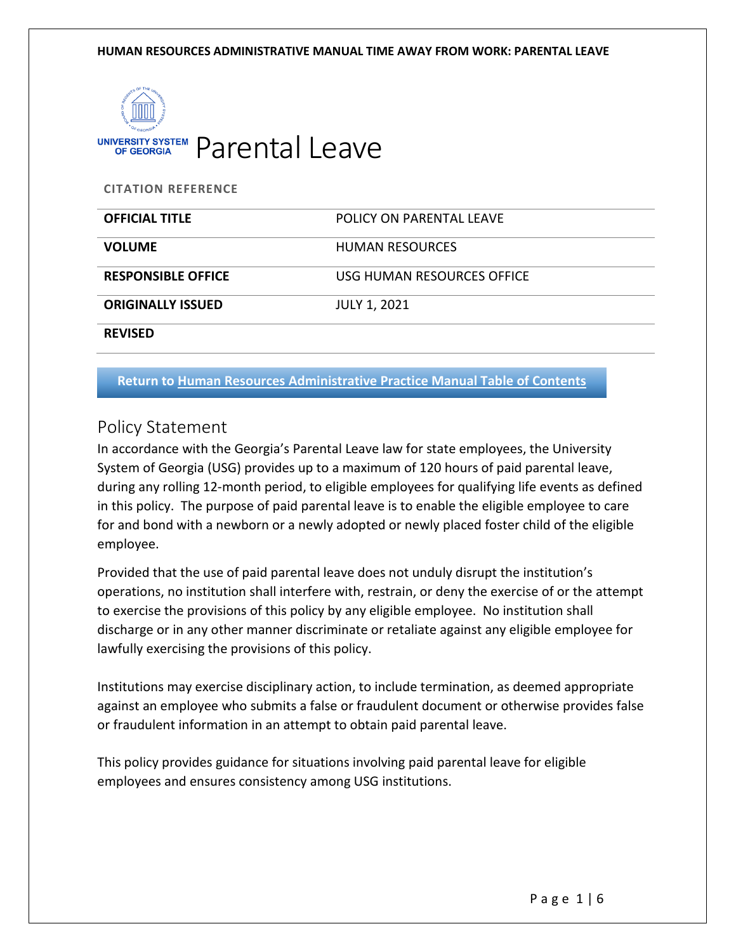

UNIVERSITY SYSTEM Parental Leave

**CITATION REFERENCE**

| <b>OFFICIAL TITLE</b>     | POLICY ON PARENTAL LEAVE   |
|---------------------------|----------------------------|
| <b>VOLUME</b>             | <b>HUMAN RESOURCES</b>     |
| <b>RESPONSIBLE OFFICE</b> | USG HUMAN RESOURCES OFFICE |
| <b>ORIGINALLY ISSUED</b>  | <b>JULY 1, 2021</b>        |
| <b>REVISED</b>            |                            |

**Return to [Human Resources Administrative Practice Manual Table of Contents](https://www.usg.edu/hr/manual)**

## Policy Statement

In accordance with the Georgia's Parental Leave law for state employees, the University System of Georgia (USG) provides up to a maximum of 120 hours of paid parental leave, during any rolling 12-month period, to eligible employees for qualifying life events as defined in this policy. The purpose of paid parental leave is to enable the eligible employee to care for and bond with a newborn or a newly adopted or newly placed foster child of the eligible employee.

Provided that the use of paid parental leave does not unduly disrupt the institution's operations, no institution shall interfere with, restrain, or deny the exercise of or the attempt to exercise the provisions of this policy by any eligible employee. No institution shall discharge or in any other manner discriminate or retaliate against any eligible employee for lawfully exercising the provisions of this policy.

Institutions may exercise disciplinary action, to include termination, as deemed appropriate against an employee who submits a false or fraudulent document or otherwise provides false or fraudulent information in an attempt to obtain paid parental leave.

This policy provides guidance for situations involving paid parental leave for eligible employees and ensures consistency among USG institutions.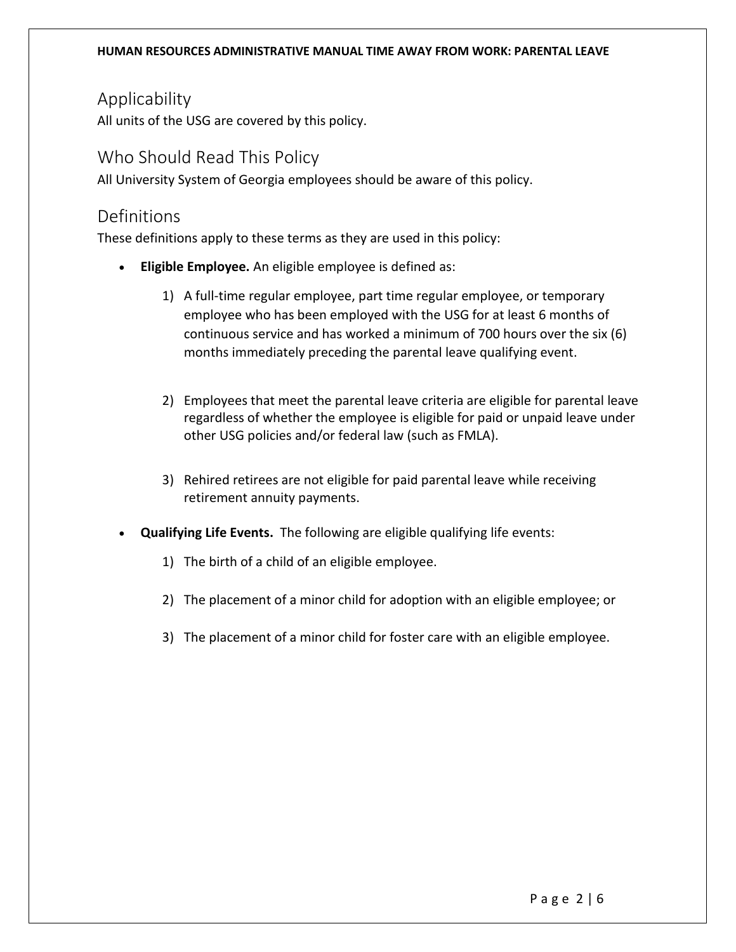# Applicability

All units of the USG are covered by this policy.

## Who Should Read This Policy

All University System of Georgia employees should be aware of this policy.

## Definitions

These definitions apply to these terms as they are used in this policy:

- **Eligible Employee.** An eligible employee is defined as:
	- 1) A full-time regular employee, part time regular employee, or temporary employee who has been employed with the USG for at least 6 months of continuous service and has worked a minimum of 700 hours over the six (6) months immediately preceding the parental leave qualifying event.
	- 2) Employees that meet the parental leave criteria are eligible for parental leave regardless of whether the employee is eligible for paid or unpaid leave under other USG policies and/or federal law (such as FMLA).
	- 3) Rehired retirees are not eligible for paid parental leave while receiving retirement annuity payments.
- **Qualifying Life Events.** The following are eligible qualifying life events:
	- 1) The birth of a child of an eligible employee.
	- 2) The placement of a minor child for adoption with an eligible employee; or
	- 3) The placement of a minor child for foster care with an eligible employee.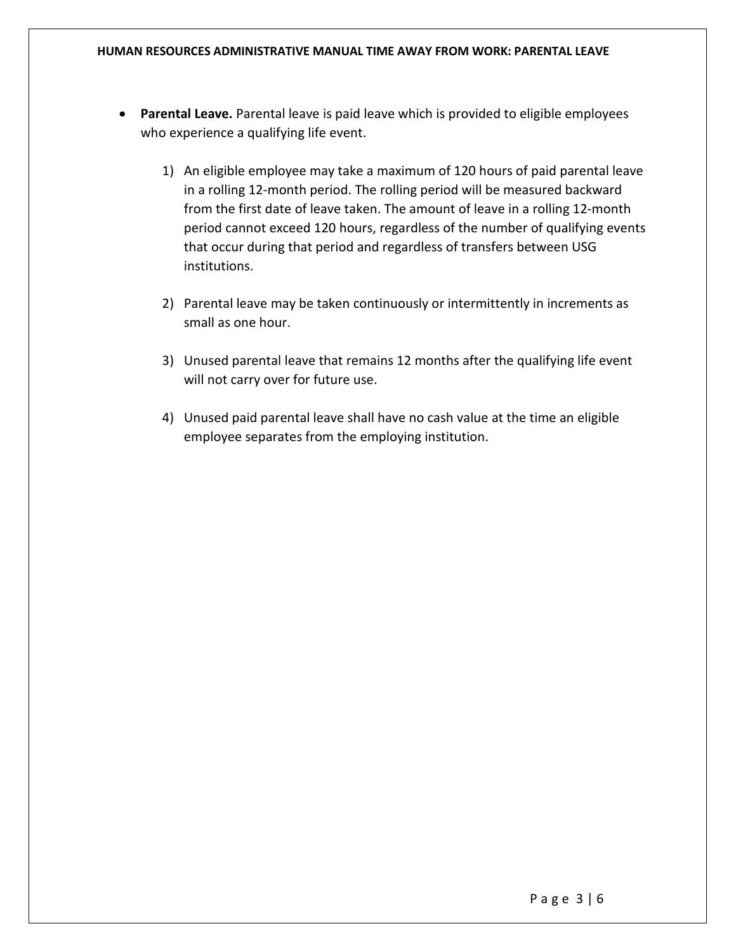#### **HUMAN RESOURCES ADMINISTRATIVE MANUAL TIME AWAY FROM WORK: PARENTAL LEAVE**

- **Parental Leave.** Parental leave is paid leave which is provided to eligible employees who experience a qualifying life event.
	- 1) An eligible employee may take a maximum of 120 hours of paid parental leave in a rolling 12-month period. The rolling period will be measured backward from the first date of leave taken. The amount of leave in a rolling 12-month period cannot exceed 120 hours, regardless of the number of qualifying events that occur during that period and regardless of transfers between USG institutions.
	- 2) Parental leave may be taken continuously or intermittently in increments as small as one hour.
	- 3) Unused parental leave that remains 12 months after the qualifying life event will not carry over for future use.
	- 4) Unused paid parental leave shall have no cash value at the time an eligible employee separates from the employing institution.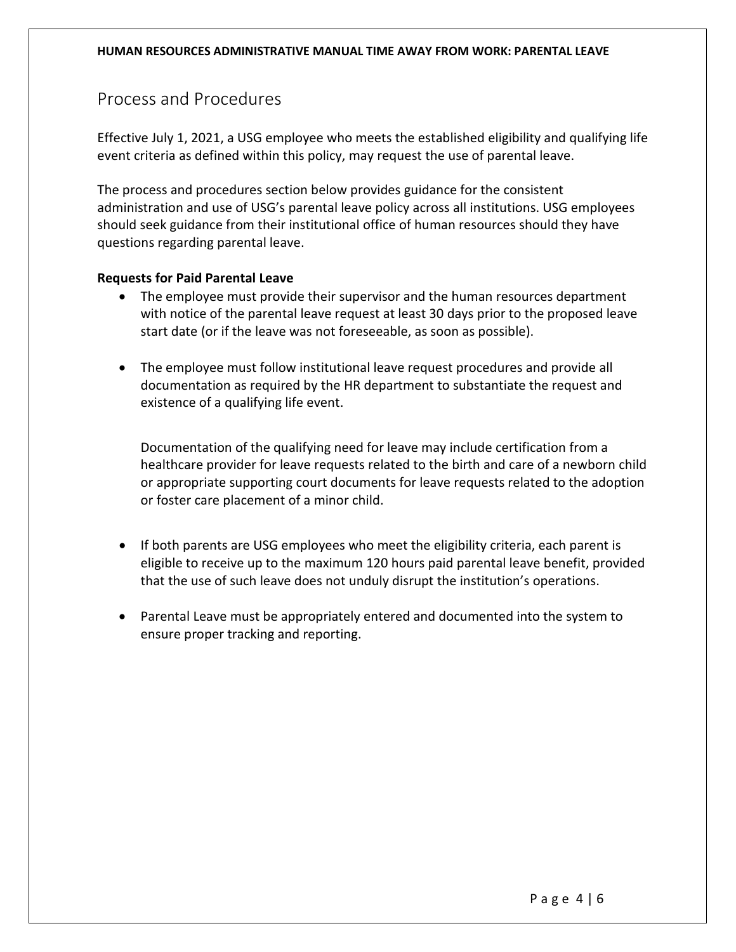## Process and Procedures

Effective July 1, 2021, a USG employee who meets the established eligibility and qualifying life event criteria as defined within this policy, may request the use of parental leave.

The process and procedures section below provides guidance for the consistent administration and use of USG's parental leave policy across all institutions. USG employees should seek guidance from their institutional office of human resources should they have questions regarding parental leave.

### **Requests for Paid Parental Leave**

- The employee must provide their supervisor and the human resources department with notice of the parental leave request at least 30 days prior to the proposed leave start date (or if the leave was not foreseeable, as soon as possible).
- The employee must follow institutional leave request procedures and provide all documentation as required by the HR department to substantiate the request and existence of a qualifying life event.

Documentation of the qualifying need for leave may include certification from a healthcare provider for leave requests related to the birth and care of a newborn child or appropriate supporting court documents for leave requests related to the adoption or foster care placement of a minor child.

- If both parents are USG employees who meet the eligibility criteria, each parent is eligible to receive up to the maximum 120 hours paid parental leave benefit, provided that the use of such leave does not unduly disrupt the institution's operations.
- Parental Leave must be appropriately entered and documented into the system to ensure proper tracking and reporting.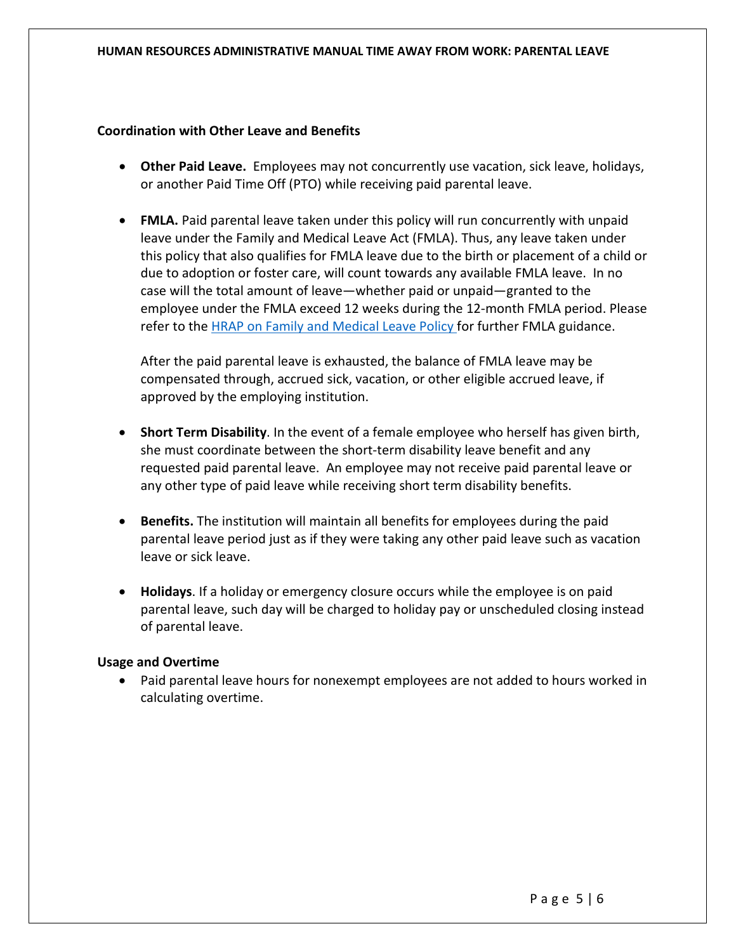#### **HUMAN RESOURCES ADMINISTRATIVE MANUAL TIME AWAY FROM WORK: PARENTAL LEAVE**

### **Coordination with Other Leave and Benefits**

- **Other Paid Leave.** Employees may not concurrently use vacation, sick leave, holidays, or another Paid Time Off (PTO) while receiving paid parental leave.
- **FMLA.** Paid parental leave taken under this policy will run concurrently with unpaid leave under the Family and Medical Leave Act (FMLA). Thus, any leave taken under this policy that also qualifies for FMLA leave due to the birth or placement of a child or due to adoption or foster care, will count towards any available FMLA leave. In no case will the total amount of leave—whether paid or unpaid—granted to the employee under the FMLA exceed 12 weeks during the 12-month FMLA period. Please refer to the [HRAP on Family and Medical Leave Policy f](https://www.usg.edu/hr/assets/hr/hrap_manual/HRAP_Family_and_Medical_Leave_Act_Time_Away_from_Work.pdf)or further FMLA guidance.

After the paid parental leave is exhausted, the balance of FMLA leave may be compensated through, accrued sick, vacation, or other eligible accrued leave, if approved by the employing institution.

- **Short Term Disability**. In the event of a female employee who herself has given birth, she must coordinate between the short-term disability leave benefit and any requested paid parental leave. An employee may not receive paid parental leave or any other type of paid leave while receiving short term disability benefits.
- **Benefits.** The institution will maintain all benefits for employees during the paid parental leave period just as if they were taking any other paid leave such as vacation leave or sick leave.
- **Holidays**. If a holiday or emergency closure occurs while the employee is on paid parental leave, such day will be charged to holiday pay or unscheduled closing instead of parental leave.

### **Usage and Overtime**

• Paid parental leave hours for nonexempt employees are not added to hours worked in calculating overtime.